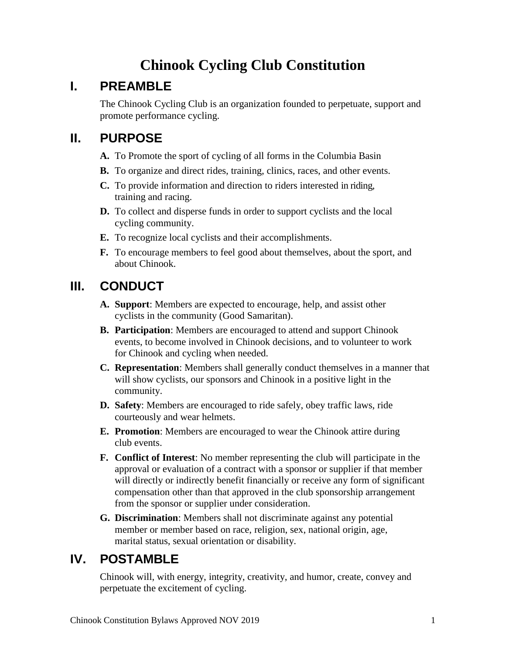# **Chinook Cycling Club Constitution**

## **I. PREAMBLE**

The Chinook Cycling Club is an organization founded to perpetuate, support and promote performance cycling.

### **II. PURPOSE**

- **A.** To Promote the sport of cycling of all forms in the Columbia Basin
- **B.** To organize and direct rides, training, clinics, races, and other events.
- **C.** To provide information and direction to riders interested in riding, training and racing.
- **D.** To collect and disperse funds in order to support cyclists and the local cycling community.
- **E.** To recognize local cyclists and their accomplishments.
- **F.** To encourage members to feel good about themselves, about the sport, and about Chinook.

# **III. CONDUCT**

- **A. Support**: Members are expected to encourage, help, and assist other cyclists in the community (Good Samaritan).
- **B. Participation**: Members are encouraged to attend and support Chinook events, to become involved in Chinook decisions, and to volunteer to work for Chinook and cycling when needed.
- **C. Representation**: Members shall generally conduct themselves in a manner that will show cyclists, our sponsors and Chinook in a positive light in the community.
- **D. Safety**: Members are encouraged to ride safely, obey traffic laws, ride courteously and wear helmets.
- **E. Promotion**: Members are encouraged to wear the Chinook attire during club events.
- **F. Conflict of Interest**: No member representing the club will participate in the approval or evaluation of a contract with a sponsor or supplier if that member will directly or indirectly benefit financially or receive any form of significant compensation other than that approved in the club sponsorship arrangement from the sponsor or supplier under consideration.
- **G. Discrimination**: Members shall not discriminate against any potential member or member based on race, religion, sex, national origin, age, marital status, sexual orientation or disability.

# **IV. POSTAMBLE**

Chinook will, with energy, integrity, creativity, and humor, create, convey and perpetuate the excitement of cycling.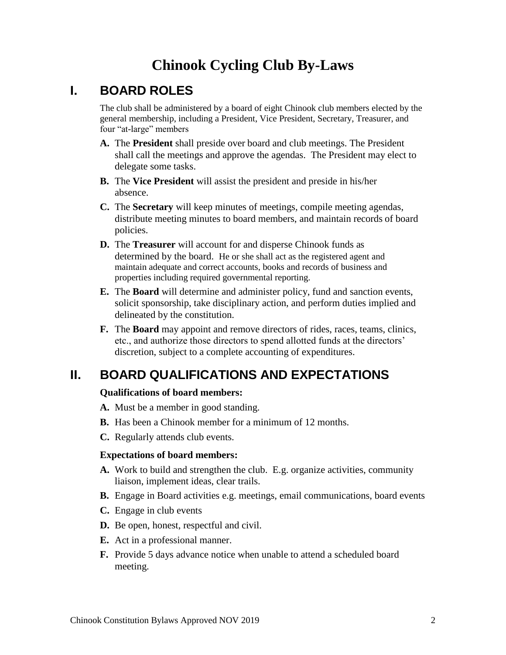# **Chinook Cycling Club By-Laws**

#### **I. BOARD ROLES**

The club shall be administered by a board of eight Chinook club members elected by the general membership, including a President, Vice President, Secretary, Treasurer, and four "at-large" members

- **A.** The **President** shall preside over board and club meetings. The President shall call the meetings and approve the agendas. The President may elect to delegate some tasks.
- **B.** The **Vice President** will assist the president and preside in his/her absence.
- **C.** The **Secretary** will keep minutes of meetings, compile meeting agendas, distribute meeting minutes to board members, and maintain records of board policies.
- **D.** The **Treasurer** will account for and disperse Chinook funds as determined by the board. He or she shall act as the registered agent and maintain adequate and correct accounts, books and records of business and properties including required governmental reporting.
- **E.** The **Board** will determine and administer policy, fund and sanction events, solicit sponsorship, take disciplinary action, and perform duties implied and delineated by the constitution.
- **F.** The **Board** may appoint and remove directors of rides, races, teams, clinics, etc., and authorize those directors to spend allotted funds at the directors' discretion, subject to a complete accounting of expenditures.

# **II. BOARD QUALIFICATIONS AND EXPECTATIONS**

#### **Qualifications of board members:**

- **A.** Must be a member in good standing.
- **B.** Has been a Chinook member for a minimum of 12 months.
- **C.** Regularly attends club events.

#### **Expectations of board members:**

- **A.** Work to build and strengthen the club. E.g. organize activities, community liaison, implement ideas, clear trails.
- **B.** Engage in Board activities e.g. meetings, email communications, board events
- **C.** Engage in club events
- **D.** Be open, honest, respectful and civil.
- **E.** Act in a professional manner.
- **F.** Provide 5 days advance notice when unable to attend a scheduled board meeting.